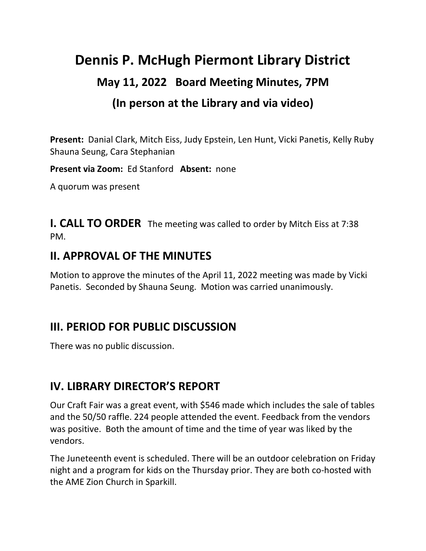# **Dennis P. McHugh Piermont Library District May 11, 2022 Board Meeting Minutes, 7PM (In person at the Library and via video)**

**Present:** Danial Clark, Mitch Eiss, Judy Epstein, Len Hunt, Vicki Panetis, Kelly Ruby Shauna Seung, Cara Stephanian

**Present via Zoom:** Ed Stanford **Absent:** none

A quorum was present

**I. CALL TO ORDER** The meeting was called to order by Mitch Eiss at 7:38 PM.

### **II. APPROVAL OF THE MINUTES**

Motion to approve the minutes of the April 11, 2022 meeting was made by Vicki Panetis. Seconded by Shauna Seung. Motion was carried unanimously.

### **III. PERIOD FOR PUBLIC DISCUSSION**

There was no public discussion.

### **IV. LIBRARY DIRECTOR'S REPORT**

Our Craft Fair was a great event, with \$546 made which includes the sale of tables and the 50/50 raffle. 224 people attended the event. Feedback from the vendors was positive. Both the amount of time and the time of year was liked by the vendors.

The Juneteenth event is scheduled. There will be an outdoor celebration on Friday night and a program for kids on the Thursday prior. They are both co-hosted with the AME Zion Church in Sparkill.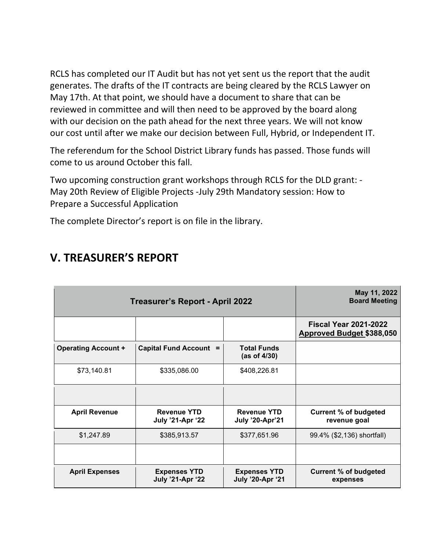RCLS has completed our IT Audit but has not yet sent us the report that the audit generates. The drafts of the IT contracts are being cleared by the RCLS Lawyer on May 17th. At that point, we should have a document to share that can be reviewed in committee and will then need to be approved by the board along with our decision on the path ahead for the next three years. We will not know our cost until after we make our decision between Full, Hybrid, or Independent IT.

The referendum for the School District Library funds has passed. Those funds will come to us around October this fall.

Two upcoming construction grant workshops through RCLS for the DLD grant: - May 20th Review of Eligible Projects -July 29th Mandatory session: How to Prepare a Successful Application

The complete Director's report is on file in the library.

| <b>Treasurer's Report - April 2022</b> |                                                |                                                | May 11, 2022<br><b>Board Meeting</b>                             |
|----------------------------------------|------------------------------------------------|------------------------------------------------|------------------------------------------------------------------|
|                                        |                                                |                                                | <b>Fiscal Year 2021-2022</b><br><b>Approved Budget \$388,050</b> |
| <b>Operating Account +</b>             | Capital Fund Account =                         | <b>Total Funds</b><br>(as of $4/30$ )          |                                                                  |
| \$73,140.81                            | \$335,086.00                                   | \$408,226.81                                   |                                                                  |
|                                        |                                                |                                                |                                                                  |
| <b>April Revenue</b>                   | <b>Revenue YTD</b><br><b>July '21-Apr '22</b>  | <b>Revenue YTD</b><br><b>July '20-Apr'21</b>   | <b>Current % of budgeted</b><br>revenue goal                     |
| \$1,247.89                             | \$385,913.57                                   | \$377,651.96                                   | 99.4% (\$2,136) shortfall)                                       |
|                                        |                                                |                                                |                                                                  |
| <b>April Expenses</b>                  | <b>Expenses YTD</b><br><b>July '21-Apr '22</b> | <b>Expenses YTD</b><br><b>July '20-Apr '21</b> | <b>Current % of budgeted</b><br>expenses                         |

### **V. TREASURER'S REPORT**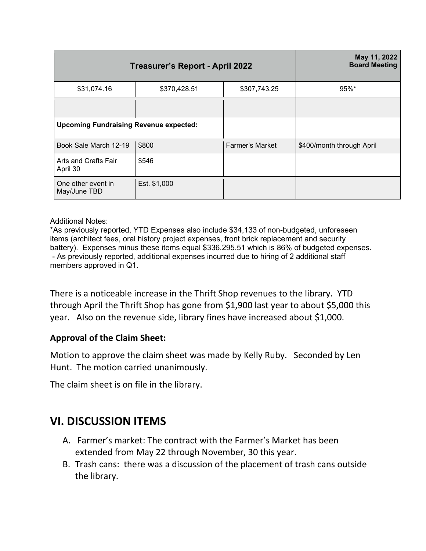|                                               | <b>Treasurer's Report - April 2022</b> |                        | May 11, 2022<br><b>Board Meeting</b> |
|-----------------------------------------------|----------------------------------------|------------------------|--------------------------------------|
| \$31,074.16                                   | \$370,428.51                           | \$307,743.25           | $95\%$ *                             |
|                                               |                                        |                        |                                      |
| <b>Upcoming Fundraising Revenue expected:</b> |                                        |                        |                                      |
| Book Sale March 12-19                         | \$800                                  | <b>Farmer's Market</b> | \$400/month through April            |
| Arts and Crafts Fair<br>April 30              | \$546                                  |                        |                                      |
| One other event in<br>May/June TBD            | Est. \$1,000                           |                        |                                      |

#### Additional Notes:

\*As previously reported, YTD Expenses also include \$34,133 of non-budgeted, unforeseen items (architect fees, oral history project expenses, front brick replacement and security battery). Expenses minus these items equal \$336,295.51 which is 86% of budgeted expenses. - As previously reported, additional expenses incurred due to hiring of 2 additional staff members approved in Q1.

There is a noticeable increase in the Thrift Shop revenues to the library. YTD through April the Thrift Shop has gone from \$1,900 last year to about \$5,000 this year. Also on the revenue side, library fines have increased about \$1,000.

#### **Approval of the Claim Sheet:**

Motion to approve the claim sheet was made by Kelly Ruby. Seconded by Len Hunt. The motion carried unanimously.

The claim sheet is on file in the library.

### **VI. DISCUSSION ITEMS**

- A. Farmer's market: The contract with the Farmer's Market has been extended from May 22 through November, 30 this year.
- B. Trash cans: there was a discussion of the placement of trash cans outside the library.